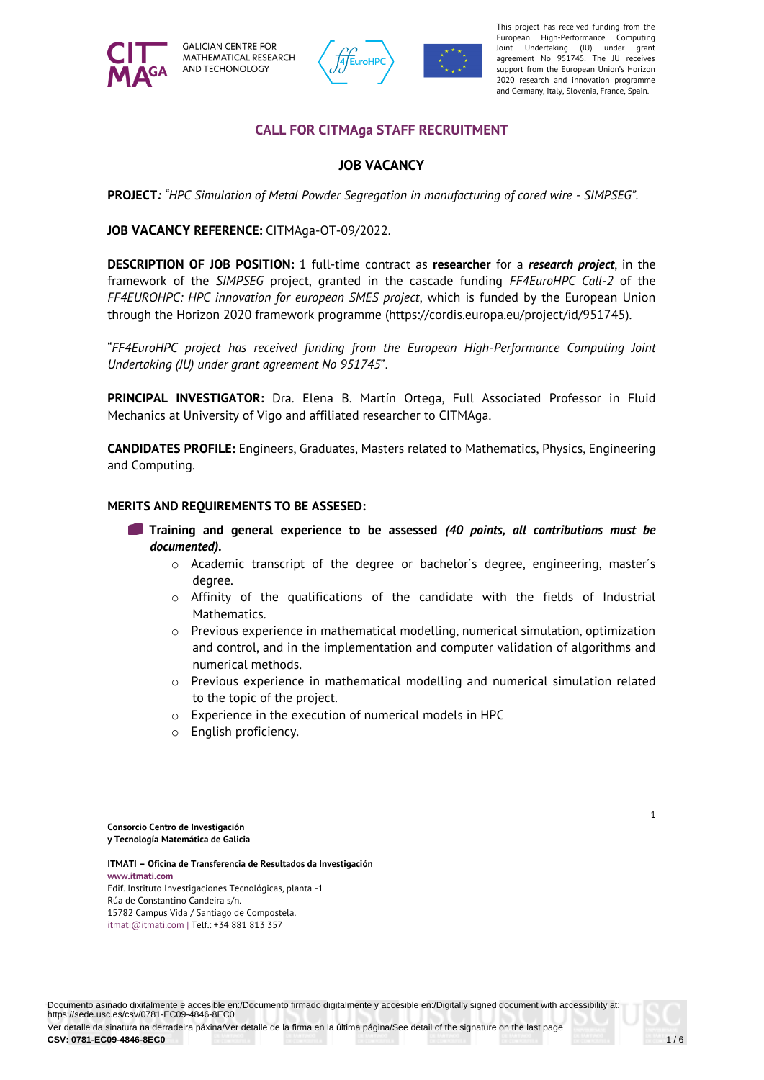

**GALICIAN CENTRE FOR** MATHEMATICAL RESEARCH AND TECHONOLOGY



agreement No 951745. The JU receives of the European Union support from the European Union's Horizon This project has received funding from the European High-Performance Computing Joint Undertaking (JU) under grant 2020 research and innovation programme and Germany, Italy, Slovenia, France, Spain.

## **CALL FOR CITMAga STAFF RECRUITMENT**

## **JOB VACANCY**

**PROJECT***: "HPC Simulation of Metal Powder Segregation in manufacturing of cored wire - SIMPSEG".*

**JOB VACANCY REFERENCE:** CITMAga-OT-09/2022.

**DESCRIPTION OF JOB POSITION:** 1 full-time contract as **researcher** for a *research project*, in the framework of the *SIMPSEG* project, granted in the cascade funding *FF4EuroHPC Call-2* of the *FF4EUROHPC: HPC innovation for european SMES project*, which is funded by the European Union through the Horizon 2020 framework programme (https://cordis.europa.eu/project/id/951745).

"*FF4EuroHPC project has received funding from the European High-Performance Computing Joint Undertaking (JU) under grant agreement No 951745*".

**PRINCIPAL INVESTIGATOR:** Dra. Elena B. Martín Ortega, Full Associated Professor in Fluid Mechanics at University of Vigo and affiliated researcher to CITMAga.

**CANDIDATES PROFILE:** Engineers, Graduates, Masters related to Mathematics, Physics, Engineering and Computing.

#### **MERITS AND REQUIREMENTS TO BE ASSESED:**

- **Training and general experience to be assessed** *(40 points, all contributions must be documented).* 
	- o Academic transcript of the degree or bachelor´s degree, engineering, master´s degree.
	- $\circ$  Affinity of the qualifications of the candidate with the fields of Industrial Mathematics.
	- $\circ$  Previous experience in mathematical modelling, numerical simulation, optimization and control, and in the implementation and computer validation of algorithms and numerical methods.
	- $\circ$  Previous experience in mathematical modelling and numerical simulation related to the topic of the project.
	- o Experience in the execution of numerical models in HPC
	- o English proficiency.

**Consorcio Centro de Investigación y Tecnología Matemática de Galicia** 

**ITMATI – Oficina de Transferencia de Resultados da Investigación www.itmati.com**  Edif. Instituto Investigaciones Tecnológicas, planta -1 Rúa de Constantino Candeira s/n. 15782 Campus Vida / Santiago de Compostela. itmati@itmati.com | Telf.: +34 881 813 357

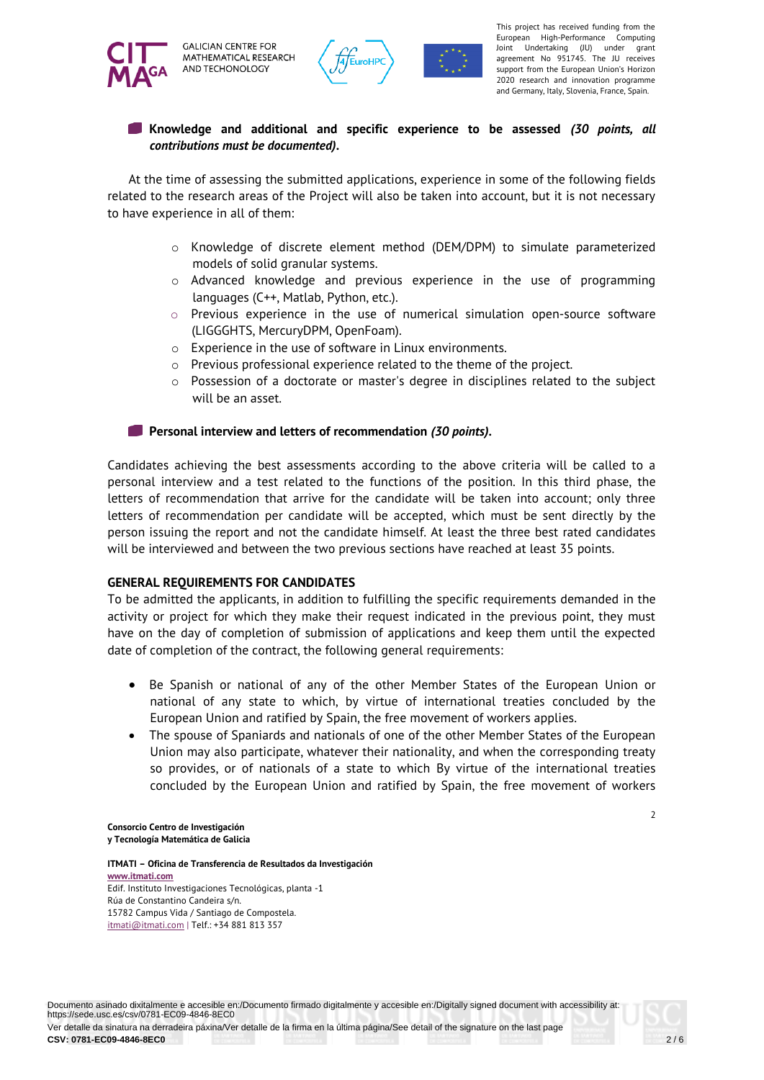



agreement No 951745. The JU receives of the European Union support from the European Union's Horizon This project has received funding from the European High-Performance Computing Joint Undertaking (JU) under grant 2020 research and innovation programme and Germany, Italy, Slovenia, France, Spain.

## **Knowledge and additional and specific experience to be assessed** *(30 points, all contributions must be documented)***.**

At the time of assessing the submitted applications, experience in some of the following fields related to the research areas of the Project will also be taken into account, but it is not necessary to have experience in all of them:

- o Knowledge of discrete element method (DEM/DPM) to simulate parameterized models of solid granular systems.
- o Advanced knowledge and previous experience in the use of programming languages (C++, Matlab, Python, etc.).
- o Previous experience in the use of numerical simulation open-source software (LIGGGHTS, MercuryDPM, OpenFoam).
- o Experience in the use of software in Linux environments.
- o Previous professional experience related to the theme of the project.
- $\circ$  Possession of a doctorate or master's degree in disciplines related to the subject will be an asset.

#### **Personal interview and letters of recommendation** *(30 points)***.**

Candidates achieving the best assessments according to the above criteria will be called to a personal interview and a test related to the functions of the position. In this third phase, the letters of recommendation that arrive for the candidate will be taken into account; only three letters of recommendation per candidate will be accepted, which must be sent directly by the person issuing the report and not the candidate himself. At least the three best rated candidates will be interviewed and between the two previous sections have reached at least 35 points.

#### **GENERAL REQUIREMENTS FOR CANDIDATES**

To be admitted the applicants, in addition to fulfilling the specific requirements demanded in the activity or project for which they make their request indicated in the previous point, they must have on the day of completion of submission of applications and keep them until the expected date of completion of the contract, the following general requirements:

- Be Spanish or national of any of the other Member States of the European Union or national of any state to which, by virtue of international treaties concluded by the European Union and ratified by Spain, the free movement of workers applies.
- The spouse of Spaniards and nationals of one of the other Member States of the European Union may also participate, whatever their nationality, and when the corresponding treaty so provides, or of nationals of a state to which By virtue of the international treaties concluded by the European Union and ratified by Spain, the free movement of workers

 $\overline{2}$ 

**Consorcio Centro de Investigación y Tecnología Matemática de Galicia**

**ITMATI – Oficina de Transferencia de Resultados da Investigación www.itmati.com** Edif. Instituto Investigaciones Tecnológicas, planta -1 Rúa de Constantino Candeira s/n. 15782 Campus Vida / Santiago de Compostela. itmati@itmati.com | Telf.: +34 881 813 357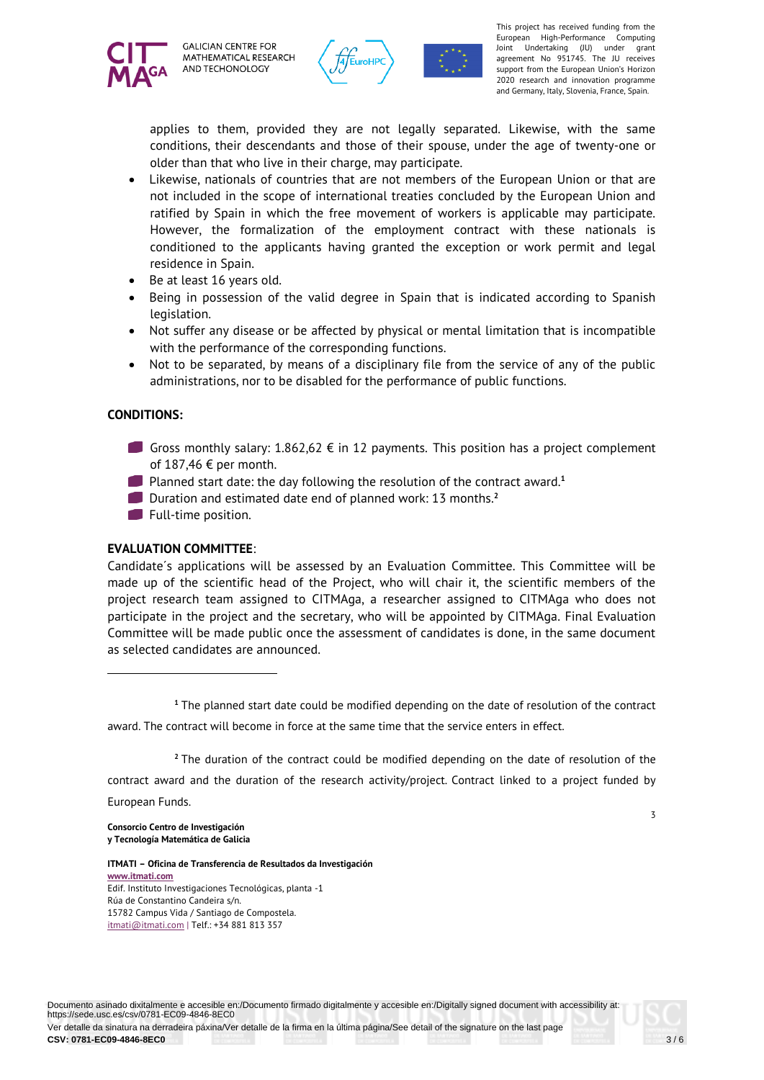



agreement No 951745. The JU receives of the European Union support from the European Union's Horizon This project has received funding from the European High-Performance Computing Joint Undertaking (JU) under grant 2020 research and innovation programme and Germany, Italy, Slovenia, France, Spain.

applies to them, provided they are not legally separated. Likewise, with the same conditions, their descendants and those of their spouse, under the age of twenty-one or older than that who live in their charge, may participate.

- Likewise, nationals of countries that are not members of the European Union or that are not included in the scope of international treaties concluded by the European Union and ratified by Spain in which the free movement of workers is applicable may participate. However, the formalization of the employment contract with these nationals is conditioned to the applicants having granted the exception or work permit and legal residence in Spain.
- Be at least 16 years old.
- Being in possession of the valid degree in Spain that is indicated according to Spanish legislation.
- Not suffer any disease or be affected by physical or mental limitation that is incompatible with the performance of the corresponding functions.
- Not to be separated, by means of a disciplinary file from the service of any of the public administrations, nor to be disabled for the performance of public functions.

## **CONDITIONS:**

- Gross monthly salary:  $1.862,62 \notin$  in 12 payments. This position has a project complement of 187,46 € per month.
- **Planned start date: the day following the resolution of the contract award.**<sup>1</sup>
- Duration and estimated date end of planned work: 13 months.**<sup>2</sup>**
- Full-time position.

## **EVALUATION COMMITTEE**:

Candidate´s applications will be assessed by an Evaluation Committee. This Committee will be made up of the scientific head of the Project, who will chair it, the scientific members of the project research team assigned to CITMAga, a researcher assigned to CITMAga who does not participate in the project and the secretary, who will be appointed by CITMAga. Final Evaluation Committee will be made public once the assessment of candidates is done, in the same document as selected candidates are announced.

**<sup>1</sup>** The planned start date could be modified depending on the date of resolution of the contract award. The contract will become in force at the same time that the service enters in effect.

**<sup>2</sup>** The duration of the contract could be modified depending on the date of resolution of the contract award and the duration of the research activity/project. Contract linked to a project funded by European Funds.

**Consorcio Centro de Investigación y Tecnología Matemática de Galicia**  3

**ITMATI – Oficina de Transferencia de Resultados da Investigación www.itmati.com**  Edif. Instituto Investigaciones Tecnológicas, planta -1 Rúa de Constantino Candeira s/n. 15782 Campus Vida / Santiago de Compostela. itmati@itmati.com | Telf.: +34 881 813 357

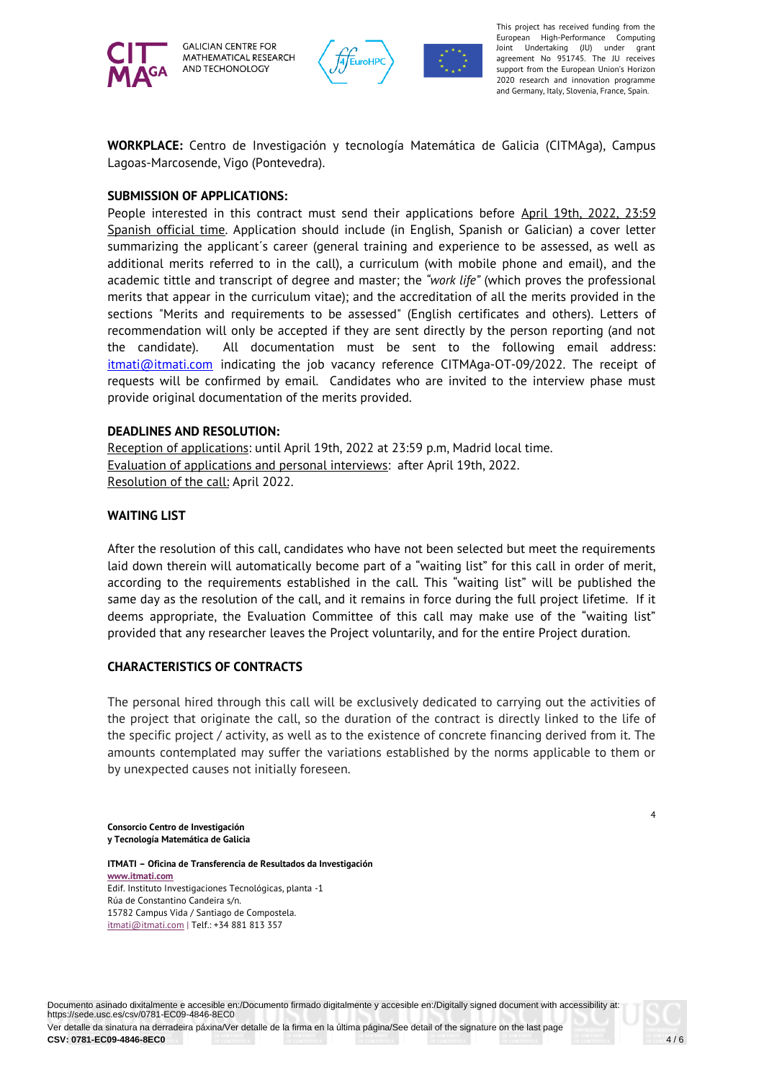

**GALICIAN CENTRE FOR** MATHEMATICAL RESEARCH AND TECHONOLOGY



agreement No 951745. The JU receives of the European Union support from the European Union's Horizon This project has received funding from the European High-Performance Computing Joint Undertaking (JU) under grant 2020 research and innovation programme and Germany, Italy, Slovenia, France, Spain.

**WORKPLACE:** Centro de Investigación y tecnología Matemática de Galicia (CITMAga), Campus Lagoas-Marcosende, Vigo (Pontevedra).

#### **SUBMISSION OF APPLICATIONS:**

People interested in this contract must send their applications before April 19th, 2022, 23:59 Spanish official time. Application should include (in English, Spanish or Galician) a cover letter summarizing the applicant´s career (general training and experience to be assessed, as well as additional merits referred to in the call), a curriculum (with mobile phone and email), and the academic tittle and transcript of degree and master; the *"work life"* (which proves the professional merits that appear in the curriculum vitae); and the accreditation of all the merits provided in the sections "Merits and requirements to be assessed" (English certificates and others). Letters of recommendation will only be accepted if they are sent directly by the person reporting (and not the candidate). All documentation must be sent to the following email address: itmati@itmati.com indicating the job vacancy reference CITMAga-OT-09/2022. The receipt of requests will be confirmed by email. Candidates who are invited to the interview phase must provide original documentation of the merits provided.

#### **DEADLINES AND RESOLUTION:**

Reception of applications: until April 19th, 2022 at 23:59 p.m, Madrid local time. Evaluation of applications and personal interviews: after April 19th, 2022. Resolution of the call: April 2022.

#### **WAITING LIST**

After the resolution of this call, candidates who have not been selected but meet the requirements laid down therein will automatically become part of a "waiting list" for this call in order of merit, according to the requirements established in the call. This "waiting list" will be published the same day as the resolution of the call, and it remains in force during the full project lifetime. If it deems appropriate, the Evaluation Committee of this call may make use of the "waiting list" provided that any researcher leaves the Project voluntarily, and for the entire Project duration.

## **CHARACTERISTICS OF CONTRACTS**

The personal hired through this call will be exclusively dedicated to carrying out the activities of the project that originate the call, so the duration of the contract is directly linked to the life of the specific project / activity, as well as to the existence of concrete financing derived from it. The amounts contemplated may suffer the variations established by the norms applicable to them or by unexpected causes not initially foreseen.

**Consorcio Centro de Investigación y Tecnología Matemática de Galicia**

**ITMATI – Oficina de Transferencia de Resultados da Investigación www.itmati.com** Edif. Instituto Investigaciones Tecnológicas, planta -1 Rúa de Constantino Candeira s/n. 15782 Campus Vida / Santiago de Compostela. itmati@itmati.com | Telf.: +34 881 813 357

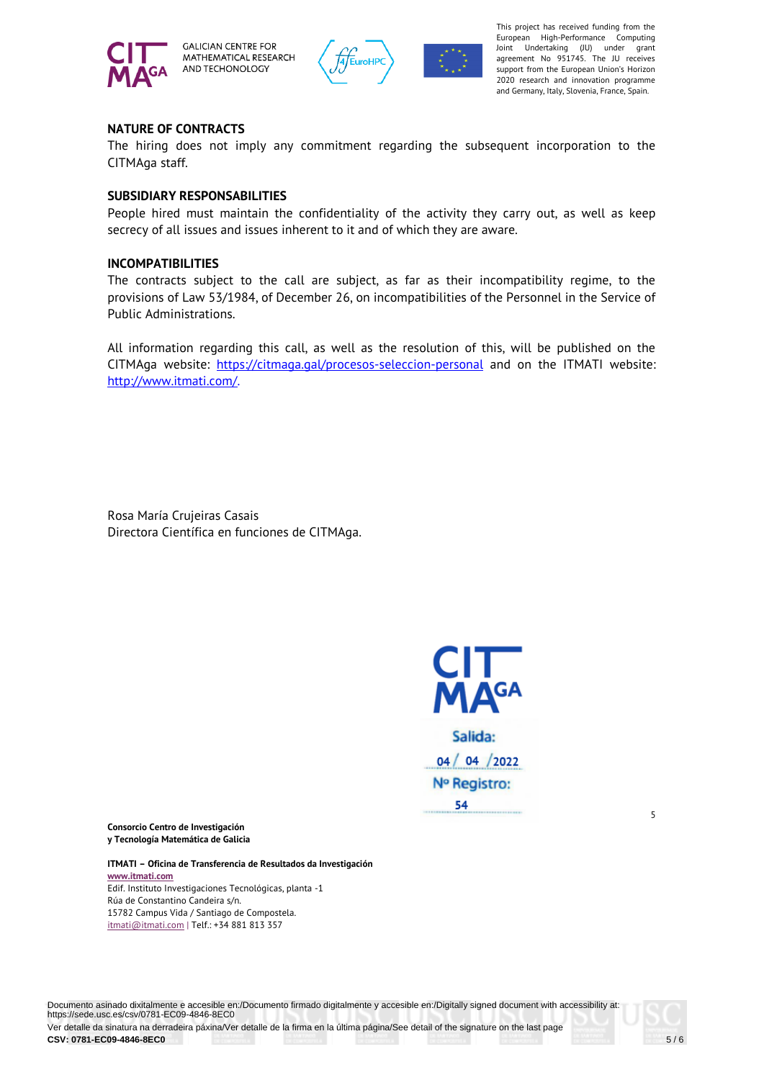

**GALICIAN CENTRE FOR** MATHEMATICAL RESEARCH AND TECHONOLOGY



agreement No 951745. The JU receives of the European Union support from the European Union's Horizon This project has received funding from the European High-Performance Computing Joint Undertaking (JU) under grant 2020 research and innovation programme and Germany, Italy, Slovenia, France, Spain.

## **NATURE OF CONTRACTS**

The hiring does not imply any commitment regarding the subsequent incorporation to the CITMAga staff.

### **SUBSIDIARY RESPONSABILITIES**

People hired must maintain the confidentiality of the activity they carry out, as well as keep secrecy of all issues and issues inherent to it and of which they are aware.

#### **INCOMPATIBILITIES**

The contracts subject to the call are subject, as far as their incompatibility regime, to the provisions of Law 53/1984, of December 26, on incompatibilities of the Personnel in the Service of Public Administrations.

All information regarding this call, as well as the resolution of this, will be published on the CITMAga website: https://citmaga.gal/procesos-seleccion-personal and on the ITMATI website: http://www.itmati.com/.

Rosa María Crujeiras Casais Directora Científica en funciones de CITMAga.



Salida:  $04/04/2022$ Nº Registro: 54

5

**Consorcio Centro de Investigación y Tecnología Matemática de Galicia** 

**ITMATI – Oficina de Transferencia de Resultados da Investigación www.itmati.com**  Edif. Instituto Investigaciones Tecnológicas, planta -1 Rúa de Constantino Candeira s/n. 15782 Campus Vida / Santiago de Compostela. itmati@itmati.com | Telf.: +34 881 813 357